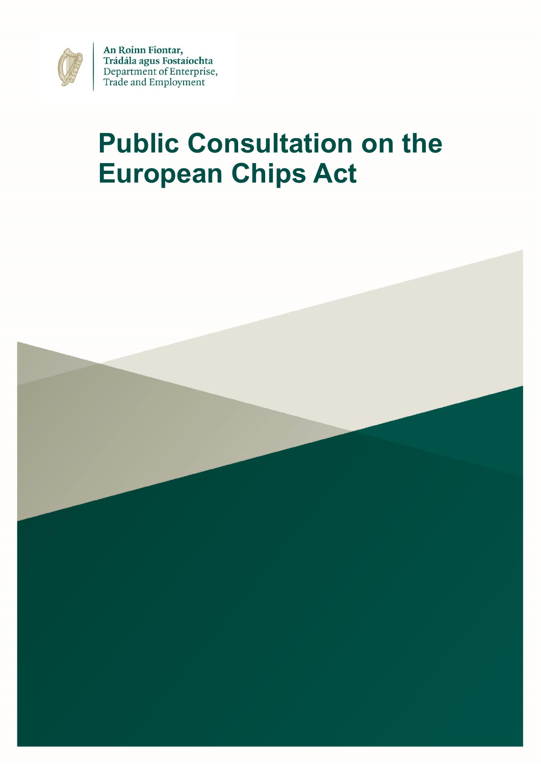

An Roinn Fiontar, Trádála agus Fostaíochta<br>Department of Enterprise, Trade and Employment

# **Public Consultation on the European Chips Act**

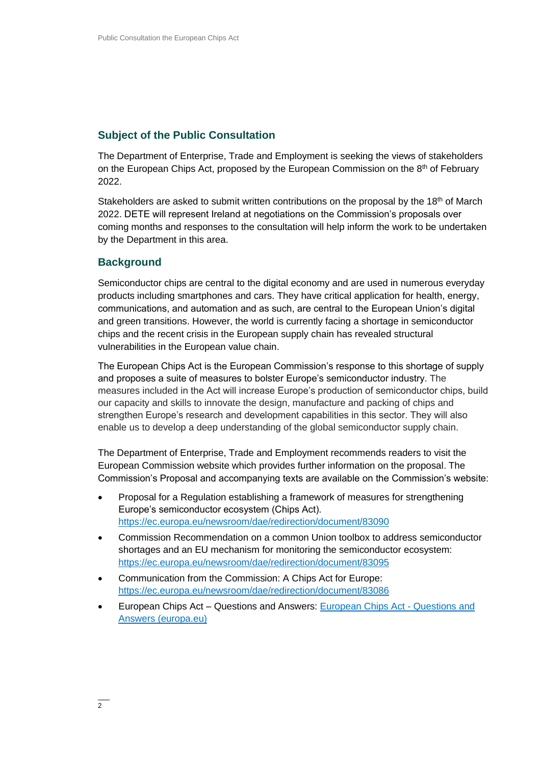## **Subject of the Public Consultation**

The Department of Enterprise, Trade and Employment is seeking the views of stakeholders on the European Chips Act, proposed by the European Commission on the 8<sup>th</sup> of February 2022.

Stakeholders are asked to submit written contributions on the proposal by the 18<sup>th</sup> of March 2022. DETE will represent Ireland at negotiations on the Commission's proposals over coming months and responses to the consultation will help inform the work to be undertaken by the Department in this area.

### **Background**

Semiconductor chips are central to the digital economy and are used in numerous everyday products including smartphones and cars. They have critical application for health, energy, communications, and automation and as such, are central to the European Union's digital and green transitions. However, the world is currently facing a shortage in semiconductor chips and the recent crisis in the European supply chain has revealed structural vulnerabilities in the European value chain.

The European Chips Act is the European Commission's response to this shortage of supply and proposes a suite of measures to bolster Europe's semiconductor industry. The measures included in the Act will increase Europe's production of semiconductor chips, build our capacity and skills to innovate the design, manufacture and packing of chips and strengthen Europe's research and development capabilities in this sector. They will also enable us to develop a deep understanding of the global semiconductor supply chain.

The Department of Enterprise, Trade and Employment recommends readers to visit the European Commission website which provides further information on the proposal. The Commission's Proposal and accompanying texts are available on the Commission's website:

- Proposal for a Regulation establishing a framework of measures for strengthening Europe's semiconductor ecosystem (Chips Act). <https://ec.europa.eu/newsroom/dae/redirection/document/83090>
- Commission Recommendation on a common Union toolbox to address semiconductor shortages and an EU mechanism for monitoring the semiconductor ecosystem: <https://ec.europa.eu/newsroom/dae/redirection/document/83095>
- Communication from the Commission: A Chips Act for Europe: <https://ec.europa.eu/newsroom/dae/redirection/document/83086>
- European Chips Act Questions and Answers: [European Chips Act -](https://ec.europa.eu/commission/presscorner/detail/en/qanda_22_730) Questions and [Answers \(europa.eu\)](https://ec.europa.eu/commission/presscorner/detail/en/qanda_22_730)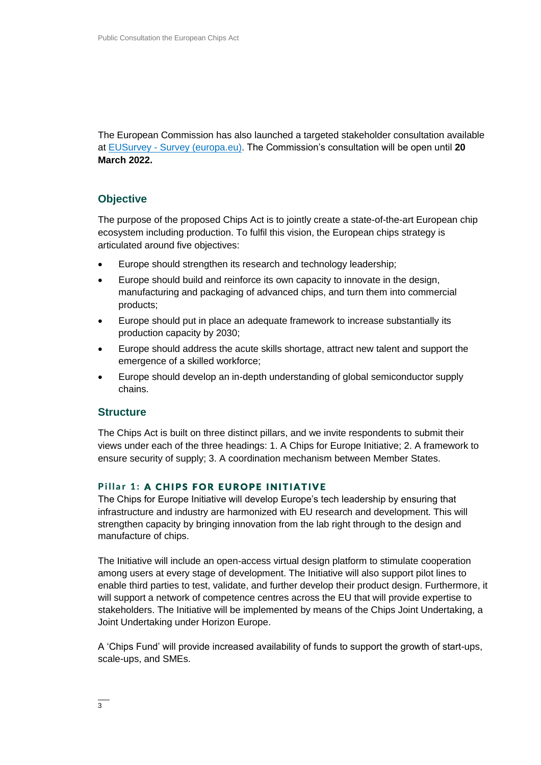The European Commission has also launched a targeted stakeholder consultation available at EUSurvey - [Survey \(europa.eu\).](https://ec.europa.eu/eusurvey/runner/EuropeanChipsSurvey#page0) The Commission's consultation will be open until **20 March 2022.**

## **Objective**

The purpose of the proposed Chips Act is to jointly create a state-of-the-art European chip ecosystem including production. To fulfil this vision, the European chips strategy is articulated around five objectives:

- Europe should strengthen its research and technology leadership;
- Europe should build and reinforce its own capacity to innovate in the design, manufacturing and packaging of advanced chips, and turn them into commercial products;
- Europe should put in place an adequate framework to increase substantially its production capacity by 2030;
- Europe should address the acute skills shortage, attract new talent and support the emergence of a skilled workforce;
- Europe should develop an in-depth understanding of global semiconductor supply chains.

#### **Structure**

The Chips Act is built on three distinct pillars, and we invite respondents to submit their views under each of the three headings: 1. A Chips for Europe Initiative; 2. A framework to ensure security of supply; 3. A coordination mechanism between Member States.

#### Pillar 1: A CHIPS FOR EUROPE INITIATIVE

The Chips for Europe Initiative will develop Europe's tech leadership by ensuring that infrastructure and industry are harmonized with EU research and development. This will strengthen capacity by bringing innovation from the lab right through to the design and manufacture of chips.

The Initiative will include an open-access virtual design platform to stimulate cooperation among users at every stage of development. The Initiative will also support pilot lines to enable third parties to test, validate, and further develop their product design. Furthermore, it will support a network of competence centres across the EU that will provide expertise to stakeholders. The Initiative will be implemented by means of the Chips Joint Undertaking, a Joint Undertaking under Horizon Europe.

A 'Chips Fund' will provide increased availability of funds to support the growth of start-ups, scale-ups, and SMEs.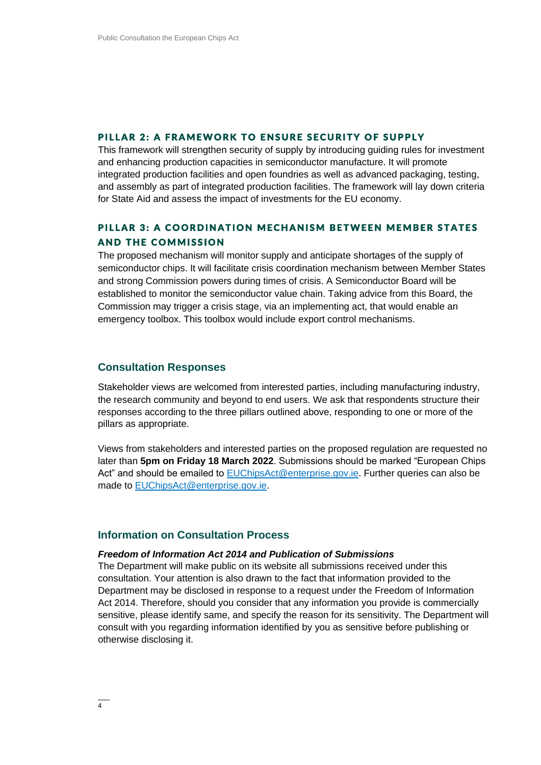#### PILLAR 2: A FRAMEWORK TO ENSURE SECURITY OF SUPPLY

This framework will strengthen security of supply by introducing guiding rules for investment and enhancing production capacities in semiconductor manufacture. It will promote integrated production facilities and open foundries as well as advanced packaging, testing, and assembly as part of integrated production facilities. The framework will lay down criteria for State Aid and assess the impact of investments for the EU economy.

## PILLAR 3: A COORDINATION MECHANISM BETWEEN MEMBER STATES **AND THE COMMISSION**

The proposed mechanism will monitor supply and anticipate shortages of the supply of semiconductor chips. It will facilitate crisis coordination mechanism between Member States and strong Commission powers during times of crisis. A Semiconductor Board will be established to monitor the semiconductor value chain. Taking advice from this Board, the Commission may trigger a crisis stage, via an implementing act, that would enable an emergency toolbox. This toolbox would include export control mechanisms.

#### **Consultation Responses**

Stakeholder views are welcomed from interested parties, including manufacturing industry, the research community and beyond to end users. We ask that respondents structure their responses according to the three pillars outlined above, responding to one or more of the pillars as appropriate.

Views from stakeholders and interested parties on the proposed regulation are requested no later than **5pm on Friday 18 March 2022**. Submissions should be marked "European Chips Act" and should be emailed to [EUChipsAct@enterprise.gov.ie.](mailto:EUChipsAct@enterprise.gov.ie) Further queries can also be made to [EUChipsAct@enterprise.gov.ie.](mailto:EUChipsAct@enterprise.gov.ie)

### **Information on Consultation Process**

#### *Freedom of Information Act 2014 and Publication of Submissions*

The Department will make public on its website all submissions received under this consultation. Your attention is also drawn to the fact that information provided to the Department may be disclosed in response to a request under the Freedom of Information Act 2014. Therefore, should you consider that any information you provide is commercially sensitive, please identify same, and specify the reason for its sensitivity. The Department will consult with you regarding information identified by you as sensitive before publishing or otherwise disclosing it.